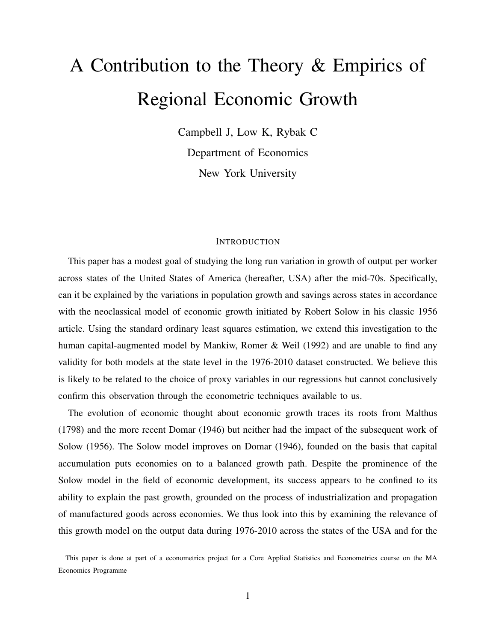# A Contribution to the Theory & Empirics of Regional Economic Growth

Campbell J, Low K, Rybak C Department of Economics New York University

#### **INTRODUCTION**

This paper has a modest goal of studying the long run variation in growth of output per worker across states of the United States of America (hereafter, USA) after the mid-70s. Specifically, can it be explained by the variations in population growth and savings across states in accordance with the neoclassical model of economic growth initiated by Robert Solow in his classic 1956 article. Using the standard ordinary least squares estimation, we extend this investigation to the human capital-augmented model by Mankiw, Romer & Weil (1992) and are unable to find any validity for both models at the state level in the 1976-2010 dataset constructed. We believe this is likely to be related to the choice of proxy variables in our regressions but cannot conclusively confirm this observation through the econometric techniques available to us.

The evolution of economic thought about economic growth traces its roots from Malthus (1798) and the more recent Domar (1946) but neither had the impact of the subsequent work of Solow (1956). The Solow model improves on Domar (1946), founded on the basis that capital accumulation puts economies on to a balanced growth path. Despite the prominence of the Solow model in the field of economic development, its success appears to be confined to its ability to explain the past growth, grounded on the process of industrialization and propagation of manufactured goods across economies. We thus look into this by examining the relevance of this growth model on the output data during 1976-2010 across the states of the USA and for the

This paper is done at part of a econometrics project for a Core Applied Statistics and Econometrics course on the MA Economics Programme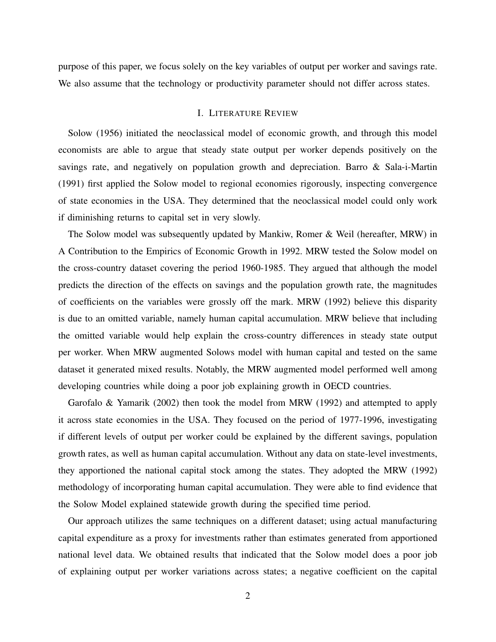purpose of this paper, we focus solely on the key variables of output per worker and savings rate. We also assume that the technology or productivity parameter should not differ across states.

# I. LITERATURE REVIEW

Solow (1956) initiated the neoclassical model of economic growth, and through this model economists are able to argue that steady state output per worker depends positively on the savings rate, and negatively on population growth and depreciation. Barro & Sala-i-Martin (1991) first applied the Solow model to regional economies rigorously, inspecting convergence of state economies in the USA. They determined that the neoclassical model could only work if diminishing returns to capital set in very slowly.

The Solow model was subsequently updated by Mankiw, Romer & Weil (hereafter, MRW) in A Contribution to the Empirics of Economic Growth in 1992. MRW tested the Solow model on the cross-country dataset covering the period 1960-1985. They argued that although the model predicts the direction of the effects on savings and the population growth rate, the magnitudes of coefficients on the variables were grossly off the mark. MRW (1992) believe this disparity is due to an omitted variable, namely human capital accumulation. MRW believe that including the omitted variable would help explain the cross-country differences in steady state output per worker. When MRW augmented Solows model with human capital and tested on the same dataset it generated mixed results. Notably, the MRW augmented model performed well among developing countries while doing a poor job explaining growth in OECD countries.

Garofalo & Yamarik (2002) then took the model from MRW (1992) and attempted to apply it across state economies in the USA. They focused on the period of 1977-1996, investigating if different levels of output per worker could be explained by the different savings, population growth rates, as well as human capital accumulation. Without any data on state-level investments, they apportioned the national capital stock among the states. They adopted the MRW (1992) methodology of incorporating human capital accumulation. They were able to find evidence that the Solow Model explained statewide growth during the specified time period.

Our approach utilizes the same techniques on a different dataset; using actual manufacturing capital expenditure as a proxy for investments rather than estimates generated from apportioned national level data. We obtained results that indicated that the Solow model does a poor job of explaining output per worker variations across states; a negative coefficient on the capital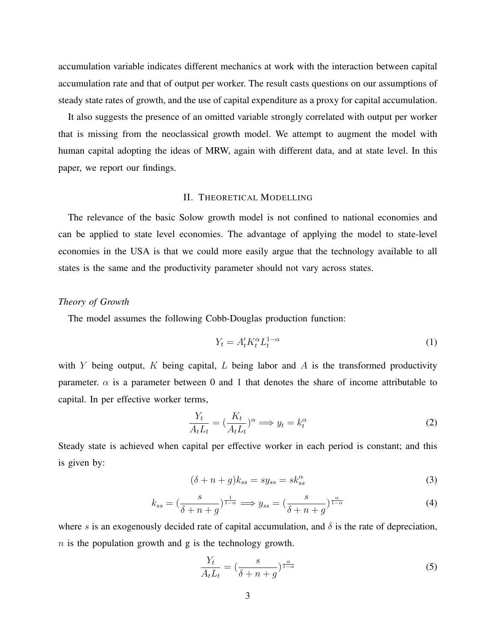accumulation variable indicates different mechanics at work with the interaction between capital accumulation rate and that of output per worker. The result casts questions on our assumptions of steady state rates of growth, and the use of capital expenditure as a proxy for capital accumulation.

It also suggests the presence of an omitted variable strongly correlated with output per worker that is missing from the neoclassical growth model. We attempt to augment the model with human capital adopting the ideas of MRW, again with different data, and at state level. In this paper, we report our findings.

# II. THEORETICAL MODELLING

The relevance of the basic Solow growth model is not confined to national economies and can be applied to state level economies. The advantage of applying the model to state-level economies in the USA is that we could more easily argue that the technology available to all states is the same and the productivity parameter should not vary across states.

#### *Theory of Growth*

The model assumes the following Cobb-Douglas production function:

$$
Y_t = A_t' K_t^{\alpha} L_t^{1-\alpha} \tag{1}
$$

with Y being output, K being capital, L being labor and A is the transformed productivity parameter.  $\alpha$  is a parameter between 0 and 1 that denotes the share of income attributable to capital. In per effective worker terms,

$$
\frac{Y_t}{A_t L_t} = \left(\frac{K_t}{A_t L_t}\right)^{\alpha} \Longrightarrow y_t = k_t^{\alpha} \tag{2}
$$

Steady state is achieved when capital per effective worker in each period is constant; and this is given by:

$$
(\delta + n + g)k_{ss} = sy_{ss} = sk_{ss}^{\alpha} \tag{3}
$$

$$
k_{ss} = \left(\frac{s}{\delta + n + g}\right)^{\frac{1}{1-\alpha}} \Longrightarrow y_{ss} = \left(\frac{s}{\delta + n + g}\right)^{\frac{\alpha}{1-\alpha}}\tag{4}
$$

where s is an exogenously decided rate of capital accumulation, and  $\delta$  is the rate of depreciation,  $n$  is the population growth and g is the technology growth.

$$
\frac{Y_t}{A_t L_t} = \left(\frac{s}{\delta + n + g}\right)^{\frac{\alpha}{1 - \alpha}}\tag{5}
$$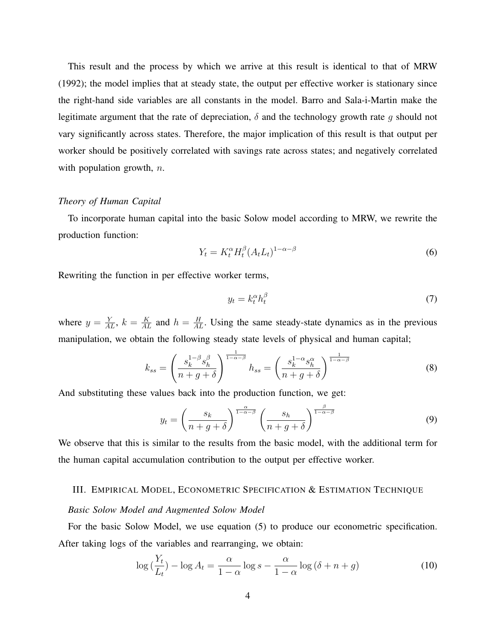This result and the process by which we arrive at this result is identical to that of MRW (1992); the model implies that at steady state, the output per effective worker is stationary since the right-hand side variables are all constants in the model. Barro and Sala-i-Martin make the legitimate argument that the rate of depreciation,  $\delta$  and the technology growth rate q should not vary significantly across states. Therefore, the major implication of this result is that output per worker should be positively correlated with savings rate across states; and negatively correlated with population growth,  $n$ .

#### *Theory of Human Capital*

To incorporate human capital into the basic Solow model according to MRW, we rewrite the production function:

$$
Y_t = K_t^{\alpha} H_t^{\beta} (A_t L_t)^{1 - \alpha - \beta} \tag{6}
$$

Rewriting the function in per effective worker terms,

$$
y_t = k_t^{\alpha} h_t^{\beta} \tag{7}
$$

where  $y = \frac{Y}{AL}$ ,  $k = \frac{K}{AL}$  and  $h = \frac{H}{AL}$ . Using the same steady-state dynamics as in the previous manipulation, we obtain the following steady state levels of physical and human capital;

$$
k_{ss} = \left(\frac{s_k^{1-\beta} s_h^{\beta}}{n+g+\delta}\right)^{\frac{1}{1-\alpha-\beta}} h_{ss} = \left(\frac{s_k^{1-\alpha} s_h^{\alpha}}{n+g+\delta}\right)^{\frac{1}{1-\alpha-\beta}}
$$
(8)

And substituting these values back into the production function, we get:

$$
y_t = \left(\frac{s_k}{n+g+\delta}\right)^{\frac{\alpha}{1-\alpha-\beta}} \left(\frac{s_h}{n+g+\delta}\right)^{\frac{\beta}{1-\alpha-\beta}}
$$
(9)

We observe that this is similar to the results from the basic model, with the additional term for the human capital accumulation contribution to the output per effective worker.

## III. EMPIRICAL MODEL, ECONOMETRIC SPECIFICATION & ESTIMATION TECHNIQUE

#### *Basic Solow Model and Augmented Solow Model*

For the basic Solow Model, we use equation (5) to produce our econometric specification. After taking logs of the variables and rearranging, we obtain:

$$
\log\left(\frac{Y_t}{L_t}\right) - \log A_t = \frac{\alpha}{1-\alpha}\log s - \frac{\alpha}{1-\alpha}\log\left(\delta + n + g\right) \tag{10}
$$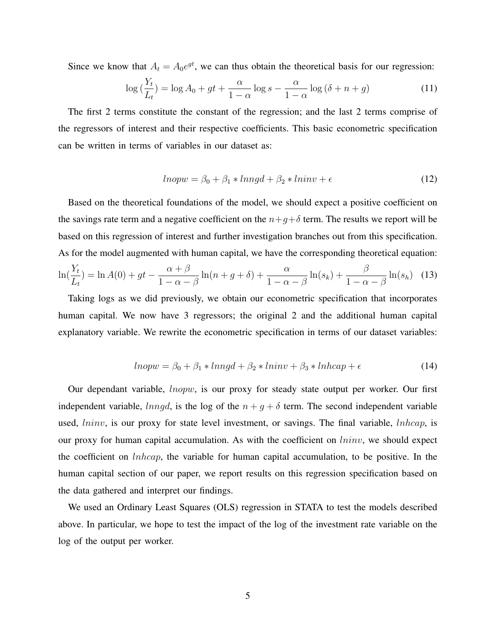Since we know that  $A_t = A_0 e^{gt}$ , we can thus obtain the theoretical basis for our regression:

$$
\log\left(\frac{Y_t}{L_t}\right) = \log A_0 + gt + \frac{\alpha}{1-\alpha}\log s - \frac{\alpha}{1-\alpha}\log\left(\delta + n + g\right) \tag{11}
$$

The first 2 terms constitute the constant of the regression; and the last 2 terms comprise of the regressors of interest and their respective coefficients. This basic econometric specification can be written in terms of variables in our dataset as:

$$
lnopw = \beta_0 + \beta_1 * lnngd + \beta_2 * lninv + \epsilon
$$
\n(12)

Based on the theoretical foundations of the model, we should expect a positive coefficient on the savings rate term and a negative coefficient on the  $n+g+\delta$  term. The results we report will be based on this regression of interest and further investigation branches out from this specification. As for the model augmented with human capital, we have the corresponding theoretical equation:  $\ln(\frac{Y_t}{I}) = \ln A(0) + gt - \frac{\alpha + \beta}{1 - \alpha} \ln(n + g + \delta) + \frac{\alpha}{1 - \alpha} \ln(s_k) + \frac{\beta}{1 - \alpha} \ln(s_h)$  (13)  $L_t$  $= \ln A(0) + gt - \frac{\alpha + \beta}{1}$  $1-\alpha-\beta$  $\ln(n+g+\delta)+\frac{\alpha}{1}$  $\frac{\alpha}{1-\alpha-\beta}\ln(s_k)+\frac{\beta}{1-\alpha-\beta}\ln(s_h)$ 

Taking logs as we did previously, we obtain our econometric specification that incorporates human capital. We now have 3 regressors; the original 2 and the additional human capital explanatory variable. We rewrite the econometric specification in terms of our dataset variables:

$$
lnopw = \beta_0 + \beta_1 * lnngd + \beta_2 * lninv + \beta_3 * lnhcap + \epsilon
$$
\n(14)

Our dependant variable, lnopw, is our proxy for steady state output per worker. Our first independent variable,  $lnngd$ , is the log of the  $n + g + \delta$  term. The second independent variable used, *lninv*, is our proxy for state level investment, or savings. The final variable, *lnhcap*, is our proxy for human capital accumulation. As with the coefficient on  $\text{Ininv}$ , we should expect the coefficient on lnhcap, the variable for human capital accumulation, to be positive. In the human capital section of our paper, we report results on this regression specification based on the data gathered and interpret our findings.

We used an Ordinary Least Squares (OLS) regression in STATA to test the models described above. In particular, we hope to test the impact of the log of the investment rate variable on the log of the output per worker.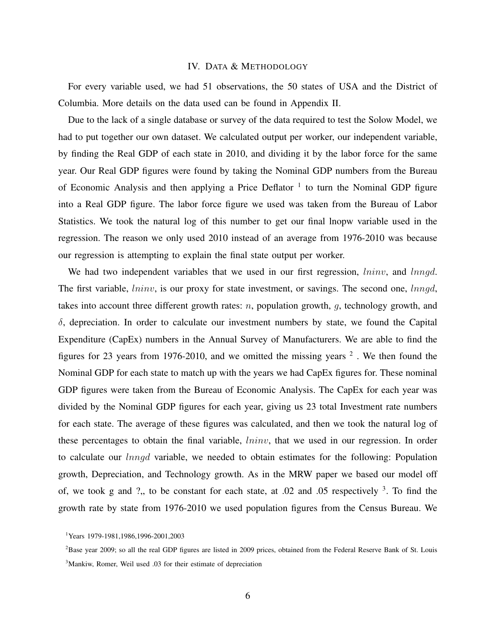# IV. DATA & METHODOLOGY

For every variable used, we had 51 observations, the 50 states of USA and the District of Columbia. More details on the data used can be found in Appendix II.

Due to the lack of a single database or survey of the data required to test the Solow Model, we had to put together our own dataset. We calculated output per worker, our independent variable, by finding the Real GDP of each state in 2010, and dividing it by the labor force for the same year. Our Real GDP figures were found by taking the Nominal GDP numbers from the Bureau of Economic Analysis and then applying a Price Deflator <sup>1</sup> to turn the Nominal GDP figure into a Real GDP figure. The labor force figure we used was taken from the Bureau of Labor Statistics. We took the natural log of this number to get our final lnopw variable used in the regression. The reason we only used 2010 instead of an average from 1976-2010 was because our regression is attempting to explain the final state output per worker.

We had two independent variables that we used in our first regression, *lninv*, and *lnngd*. The first variable, *lninv*, is our proxy for state investment, or savings. The second one, *lnngd*, takes into account three different growth rates:  $n$ , population growth,  $q$ , technology growth, and  $\delta$ , depreciation. In order to calculate our investment numbers by state, we found the Capital Expenditure (CapEx) numbers in the Annual Survey of Manufacturers. We are able to find the figures for 23 years from 1976-2010, and we omitted the missing years  $2$ . We then found the Nominal GDP for each state to match up with the years we had CapEx figures for. These nominal GDP figures were taken from the Bureau of Economic Analysis. The CapEx for each year was divided by the Nominal GDP figures for each year, giving us 23 total Investment rate numbers for each state. The average of these figures was calculated, and then we took the natural log of these percentages to obtain the final variable, *lninv*, that we used in our regression. In order to calculate our lnngd variable, we needed to obtain estimates for the following: Population growth, Depreciation, and Technology growth. As in the MRW paper we based our model off of, we took g and ?,, to be constant for each state, at  $.02$  and  $.05$  respectively  $3$ . To find the growth rate by state from 1976-2010 we used population figures from the Census Bureau. We

<sup>&</sup>lt;sup>1</sup>Years 1979-1981,1986,1996-2001,2003

 ${}^{2}$ Base year 2009; so all the real GDP figures are listed in 2009 prices, obtained from the Federal Reserve Bank of St. Louis <sup>3</sup>Mankiw, Romer, Weil used .03 for their estimate of depreciation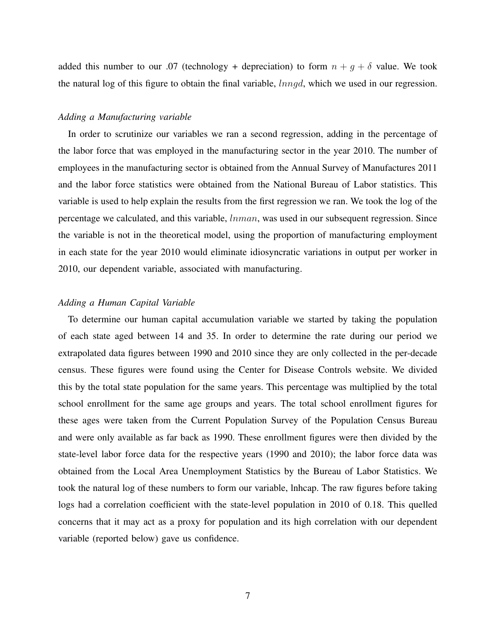added this number to our .07 (technology + depreciation) to form  $n + g + \delta$  value. We took the natural log of this figure to obtain the final variable, *lnngd*, which we used in our regression.

# *Adding a Manufacturing variable*

In order to scrutinize our variables we ran a second regression, adding in the percentage of the labor force that was employed in the manufacturing sector in the year 2010. The number of employees in the manufacturing sector is obtained from the Annual Survey of Manufactures 2011 and the labor force statistics were obtained from the National Bureau of Labor statistics. This variable is used to help explain the results from the first regression we ran. We took the log of the percentage we calculated, and this variable, lnman, was used in our subsequent regression. Since the variable is not in the theoretical model, using the proportion of manufacturing employment in each state for the year 2010 would eliminate idiosyncratic variations in output per worker in 2010, our dependent variable, associated with manufacturing.

# *Adding a Human Capital Variable*

To determine our human capital accumulation variable we started by taking the population of each state aged between 14 and 35. In order to determine the rate during our period we extrapolated data figures between 1990 and 2010 since they are only collected in the per-decade census. These figures were found using the Center for Disease Controls website. We divided this by the total state population for the same years. This percentage was multiplied by the total school enrollment for the same age groups and years. The total school enrollment figures for these ages were taken from the Current Population Survey of the Population Census Bureau and were only available as far back as 1990. These enrollment figures were then divided by the state-level labor force data for the respective years (1990 and 2010); the labor force data was obtained from the Local Area Unemployment Statistics by the Bureau of Labor Statistics. We took the natural log of these numbers to form our variable, lnhcap. The raw figures before taking logs had a correlation coefficient with the state-level population in 2010 of 0.18. This quelled concerns that it may act as a proxy for population and its high correlation with our dependent variable (reported below) gave us confidence.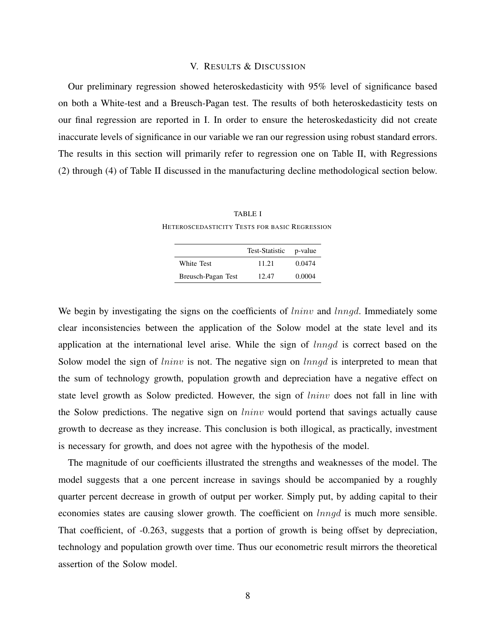# V. RESULTS & DISCUSSION

Our preliminary regression showed heteroskedasticity with 95% level of significance based on both a White-test and a Breusch-Pagan test. The results of both heteroskedasticity tests on our final regression are reported in I. In order to ensure the heteroskedasticity did not create inaccurate levels of significance in our variable we ran our regression using robust standard errors. The results in this section will primarily refer to regression one on Table II, with Regressions (2) through (4) of Table II discussed in the manufacturing decline methodological section below.

TABLE I HETEROSCEDASTICITY TESTS FOR BASIC REGRESSION

|                    | Test-Statistic | p-value |
|--------------------|----------------|---------|
| White Test         | 11.21          | 0.0474  |
| Breusch-Pagan Test | 12.47          | 0.0004  |

We begin by investigating the signs on the coefficients of *lninv* and *lnngd*. Immediately some clear inconsistencies between the application of the Solow model at the state level and its application at the international level arise. While the sign of lnngd is correct based on the Solow model the sign of *lninv* is not. The negative sign on *lnngd* is interpreted to mean that the sum of technology growth, population growth and depreciation have a negative effect on state level growth as Solow predicted. However, the sign of *lninv* does not fall in line with the Solow predictions. The negative sign on *lninv* would portend that savings actually cause growth to decrease as they increase. This conclusion is both illogical, as practically, investment is necessary for growth, and does not agree with the hypothesis of the model.

The magnitude of our coefficients illustrated the strengths and weaknesses of the model. The model suggests that a one percent increase in savings should be accompanied by a roughly quarter percent decrease in growth of output per worker. Simply put, by adding capital to their economies states are causing slower growth. The coefficient on  $lnnqd$  is much more sensible. That coefficient, of -0.263, suggests that a portion of growth is being offset by depreciation, technology and population growth over time. Thus our econometric result mirrors the theoretical assertion of the Solow model.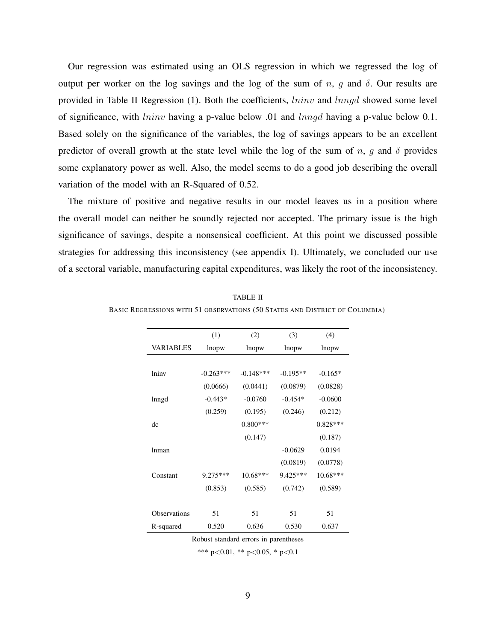Our regression was estimated using an OLS regression in which we regressed the log of output per worker on the log savings and the log of the sum of n, g and  $\delta$ . Our results are provided in Table II Regression  $(1)$ . Both the coefficients, *lninv* and *lnngd* showed some level of significance, with *lninv* having a p-value below .01 and *lnngd* having a p-value below 0.1. Based solely on the significance of the variables, the log of savings appears to be an excellent predictor of overall growth at the state level while the log of the sum of n, g and  $\delta$  provides some explanatory power as well. Also, the model seems to do a good job describing the overall variation of the model with an R-Squared of 0.52.

The mixture of positive and negative results in our model leaves us in a position where the overall model can neither be soundly rejected nor accepted. The primary issue is the high significance of savings, despite a nonsensical coefficient. At this point we discussed possible strategies for addressing this inconsistency (see appendix I). Ultimately, we concluded our use of a sectoral variable, manufacturing capital expenditures, was likely the root of the inconsistency.

|                     | (1)         | (2)         | (3)        | (4)        |
|---------------------|-------------|-------------|------------|------------|
| VARIABLES           | lnopw       | lnopw       | lnopw      | lnopw      |
|                     |             |             |            |            |
| lniny               | $-0.263***$ | $-0.148***$ | $-0.195**$ | $-0.165*$  |
|                     | (0.0666)    | (0.0441)    | (0.0879)   | (0.0828)   |
| lnngd               | $-0.443*$   | $-0.0760$   | $-0.454*$  | $-0.0600$  |
|                     | (0.259)     | (0.195)     | (0.246)    | (0.212)    |
| dc                  |             | $0.800***$  |            | $0.828***$ |
|                     |             | (0.147)     |            | (0.187)    |
| lnman               |             |             | $-0.0629$  | 0.0194     |
|                     |             |             | (0.0819)   | (0.0778)   |
| Constant            | $9.275***$  | $10.68***$  | $9.425***$ | $10.68***$ |
|                     | (0.853)     | (0.585)     | (0.742)    | (0.589)    |
|                     |             |             |            |            |
| <b>Observations</b> | 51          | 51          | 51         | 51         |
| R-squared           | 0.520       | 0.636       | 0.530      | 0.637      |

TABLE II BASIC REGRESSIONS WITH 51 OBSERVATIONS (50 STATES AND DISTRICT OF COLUMBIA)

Robust standard errors in parentheses

\*\*\* p<0.01, \*\* p<0.05, \* p<0.1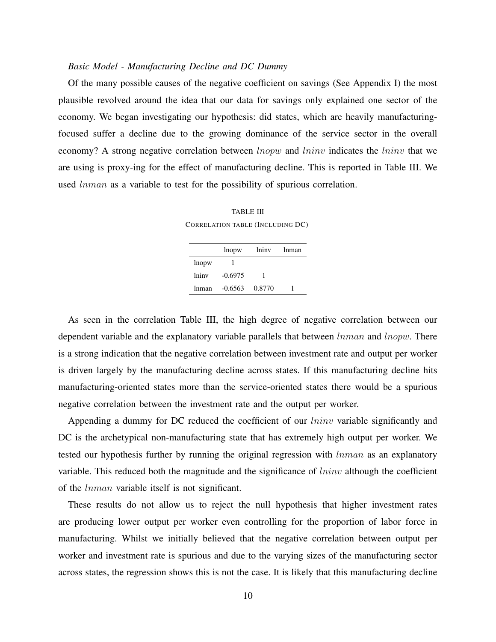# *Basic Model - Manufacturing Decline and DC Dummy*

Of the many possible causes of the negative coefficient on savings (See Appendix I) the most plausible revolved around the idea that our data for savings only explained one sector of the economy. We began investigating our hypothesis: did states, which are heavily manufacturingfocused suffer a decline due to the growing dominance of the service sector in the overall economy? A strong negative correlation between *lnopw* and *lninv* indicates the *lninv* that we are using is proxy-ing for the effect of manufacturing decline. This is reported in Table III. We used lnman as a variable to test for the possibility of spurious correlation.

TABLE III CORRELATION TABLE (INCLUDING DC)

|       | lnopw     | lniny  | <b>Inman</b> |
|-------|-----------|--------|--------------|
| lnopw |           |        |              |
| lniny | $-0.6975$ |        |              |
| lnman | $-0.6563$ | 0.8770 |              |

As seen in the correlation Table III, the high degree of negative correlation between our dependent variable and the explanatory variable parallels that between *lnman* and *lnopw*. There is a strong indication that the negative correlation between investment rate and output per worker is driven largely by the manufacturing decline across states. If this manufacturing decline hits manufacturing-oriented states more than the service-oriented states there would be a spurious negative correlation between the investment rate and the output per worker.

Appending a dummy for DC reduced the coefficient of our *lninv* variable significantly and DC is the archetypical non-manufacturing state that has extremely high output per worker. We tested our hypothesis further by running the original regression with *lnman* as an explanatory variable. This reduced both the magnitude and the significance of  $\ln inv$  although the coefficient of the lnman variable itself is not significant.

These results do not allow us to reject the null hypothesis that higher investment rates are producing lower output per worker even controlling for the proportion of labor force in manufacturing. Whilst we initially believed that the negative correlation between output per worker and investment rate is spurious and due to the varying sizes of the manufacturing sector across states, the regression shows this is not the case. It is likely that this manufacturing decline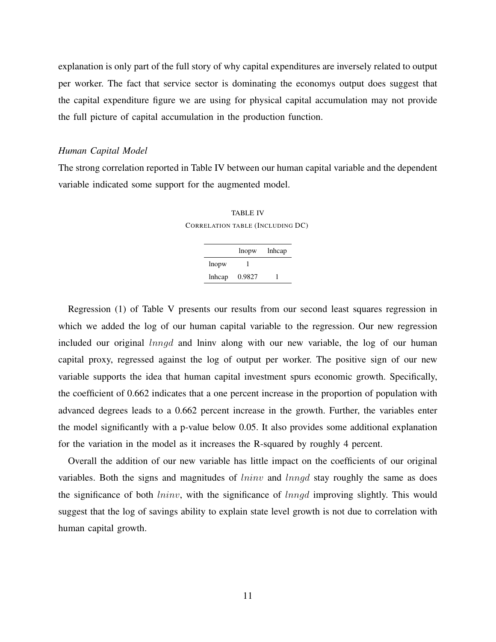explanation is only part of the full story of why capital expenditures are inversely related to output per worker. The fact that service sector is dominating the economys output does suggest that the capital expenditure figure we are using for physical capital accumulation may not provide the full picture of capital accumulation in the production function.

## *Human Capital Model*

The strong correlation reported in Table IV between our human capital variable and the dependent variable indicated some support for the augmented model.

TABLE IV CORRELATION TABLE (INCLUDING DC)

|        | lnopw  | lnhcap |
|--------|--------|--------|
| lnopw  |        |        |
| lnhcap | 0.9827 |        |

Regression (1) of Table V presents our results from our second least squares regression in which we added the log of our human capital variable to the regression. Our new regression included our original lnngd and lninv along with our new variable, the log of our human capital proxy, regressed against the log of output per worker. The positive sign of our new variable supports the idea that human capital investment spurs economic growth. Specifically, the coefficient of 0.662 indicates that a one percent increase in the proportion of population with advanced degrees leads to a 0.662 percent increase in the growth. Further, the variables enter the model significantly with a p-value below 0.05. It also provides some additional explanation for the variation in the model as it increases the R-squared by roughly 4 percent.

Overall the addition of our new variable has little impact on the coefficients of our original variables. Both the signs and magnitudes of *lninv* and *lnngd* stay roughly the same as does the significance of both *lninv*, with the significance of *lnngd* improving slightly. This would suggest that the log of savings ability to explain state level growth is not due to correlation with human capital growth.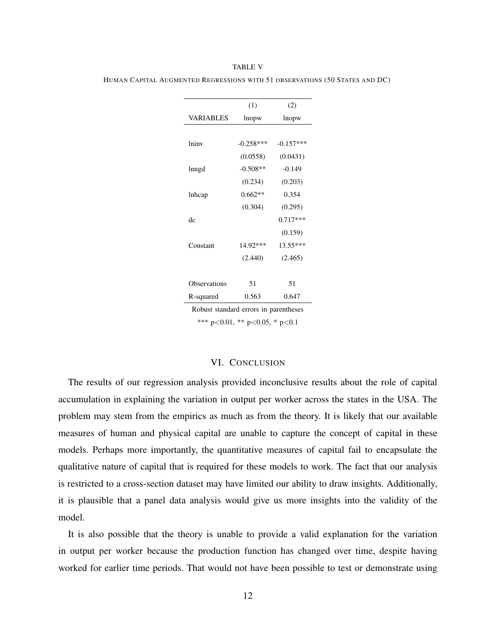|                     | (1)         | (2)         |
|---------------------|-------------|-------------|
| VARIABLES           | lnopw       | lnopw       |
|                     |             |             |
| lniny               | $-0.258***$ | $-0.157***$ |
|                     | (0.0558)    | (0.0431)    |
| lnngd               | $-0.508**$  | $-0.149$    |
|                     | (0.234)     | (0.203)     |
| lnhcap              | $0.662**$   | 0.354       |
|                     | (0.304)     | (0.295)     |
| dc                  |             | $0.717***$  |
|                     |             | (0.159)     |
| Constant            | 14.92***    | 13.55***    |
|                     | (2.440)     | (2.465)     |
|                     |             |             |
| <b>Observations</b> | 51          | 51          |
| R-squared           | 0.563       | 0.647       |

TABLE V HUMAN CAPITAL AUGMENTED REGRESSIONS WITH 51 OBSERVATIONS (50 STATES AND DC)

Robust standard errors in parentheses

\*\*\* p<0.01, \*\* p<0.05, \* p<0.1

# VI. CONCLUSION

The results of our regression analysis provided inconclusive results about the role of capital accumulation in explaining the variation in output per worker across the states in the USA. The problem may stem from the empirics as much as from the theory. It is likely that our available measures of human and physical capital are unable to capture the concept of capital in these models. Perhaps more importantly, the quantitative measures of capital fail to encapsulate the qualitative nature of capital that is required for these models to work. The fact that our analysis is restricted to a cross-section dataset may have limited our ability to draw insights. Additionally, it is plausible that a panel data analysis would give us more insights into the validity of the model.

It is also possible that the theory is unable to provide a valid explanation for the variation in output per worker because the production function has changed over time, despite having worked for earlier time periods. That would not have been possible to test or demonstrate using